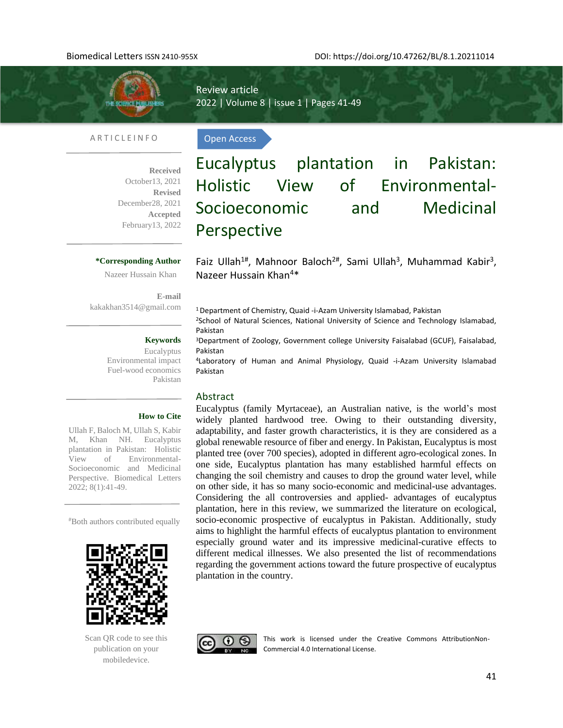Review article 2022 | Volume 8 | issue 1 | Pages 41-49 **TRAFFMELIS** 

Open Access

#### A R T I C L E I N F O

**Received**  October13, 2021 **Revised** December28, 2021 **Accepted** February13, 2022

### **\*Corresponding Author**

Nazeer Hussain Khan

**E-mail**  kakakhan3514@gmail.com

#### **Keywords**

Eucalyptus Environmental impact Fuel-wood economics Pakistan

Eucalyptus plantation in Pakistan: Holistic View of Environmental-Socioeconomic and Medicinal Perspective

Faiz Ullah<sup>1#</sup>, Mahnoor Baloch<sup>2#</sup>, Sami Ullah<sup>3</sup>, Muhammad Kabir<sup>3</sup>, Nazeer Hussain Khan<sup>4</sup>\*

<sup>1</sup>Department of Chemistry, Quaid -i-Azam University Islamabad, Pakistan

<sup>2</sup>School of Natural Sciences, National University of Science and Technology Islamabad, Pakistan

<sup>3</sup>Department of Zoology, Government college University Faisalabad (GCUF), Faisalabad, Pakistan

<sup>4</sup>Laboratory of Human and Animal Physiology, Quaid -i-Azam University Islamabad Pakistan

#### Abstract

Eucalyptus (family Myrtaceae), an Australian native, is the world's most widely planted hardwood tree. Owing to their outstanding diversity, adaptability, and faster growth characteristics, it is they are considered as a global renewable resource of fiber and energy. In Pakistan, Eucalyptus is most planted tree (over 700 species), adopted in different agro-ecological zones. In one side, Eucalyptus plantation has many established harmful effects on changing the soil chemistry and causes to drop the ground water level, while on other side, it has so many socio-economic and medicinal-use advantages. Considering the all controversies and applied- advantages of eucalyptus plantation, here in this review, we summarized the literature on ecological, socio-economic prospective of eucalyptus in Pakistan. Additionally, study aims to highlight the harmful effects of eucalyptus plantation to environment especially ground water and its impressive medicinal-curative effects to different medical illnesses. We also presented the list of recommendations regarding the government actions toward the future prospective of eucalyptus plantation in the country.





This work is licensed under the Creative Commons AttributionNon-Commercial 4.0 International License.

#### **How to Cite**

Ullah F, Baloch M, Ullah S, Kabir M, Khan NH. Eucalyptus plantation in Pakistan: Holistic View of Environmental-Socioeconomic and Medicinal Perspective. Biomedical Letters 2022; 8(1):41-49.

#Both authors contributed equally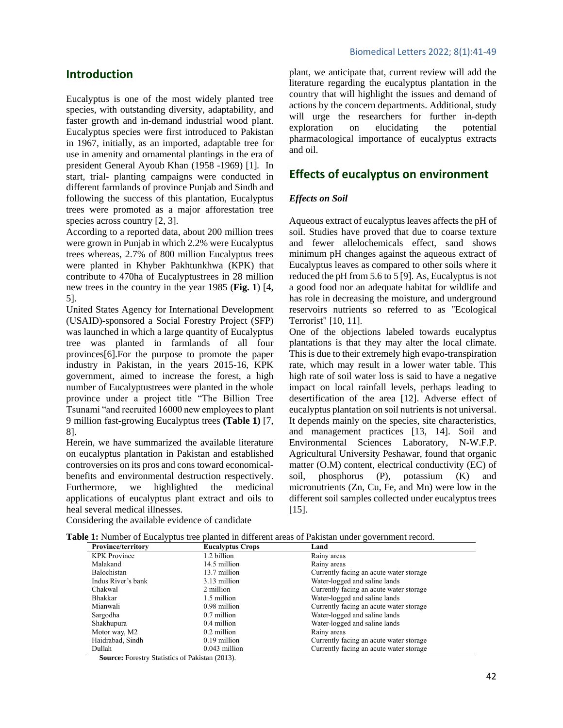## **Introduction**

Eucalyptus is one of the most widely planted tree species, with outstanding diversity, adaptability, and faster growth and in-demand industrial wood plant. Eucalyptus species were first introduced to Pakistan in 1967, initially, as an imported, adaptable tree for use in amenity and ornamental plantings in the era of president General Ayoub Khan (1958 *-*1969) [1]*.* In start, trial- planting campaigns were conducted in different farmlands of province Punjab and Sindh and following the success of this plantation, Eucalyptus trees were promoted as a major afforestation tree species across country [2, 3].

According to a reported data, about 200 million trees were grown in Punjab in which 2.2% were Eucalyptus trees whereas, 2.7% of 800 million Eucalyptus trees were planted in Khyber Pakhtunkhwa (KPK) that contribute to 470ha of Eucalyptustrees in 28 million new trees in the country in the year 1985 (**Fig. 1**) [4, 5].

United States Agency for International Development (USAID)-sponsored a Social Forestry Project (SFP) was launched in which a large quantity of Eucalyptus tree was planted in farmlands of all four provinces[6].For the purpose to promote the paper industry in Pakistan, in the years 2015-16, KPK government, aimed to increase the forest, a high number of Eucalyptustrees were planted in the whole province under a project title "The Billion Tree Tsunami "and recruited 16000 new employees to plant 9 million fast-growing Eucalyptus trees **(Table 1)** [7, 8].

Herein, we have summarized the available literature on eucalyptus plantation in Pakistan and established controversies on its pros and cons toward economicalbenefits and environmental destruction respectively. Furthermore, we highlighted the medicinal applications of eucalyptus plant extract and oils to heal several medical illnesses.

plant, we anticipate that, current review will add the literature regarding the eucalyptus plantation in the country that will highlight the issues and demand of actions by the concern departments. Additional, study will urge the researchers for further in-depth exploration on elucidating the potential pharmacological importance of eucalyptus extracts and oil.

# **Effects of eucalyptus on environment**

### *Effects on Soil*

Aqueous extract of eucalyptus leaves affects the pH of soil. Studies have proved that due to coarse texture and fewer allelochemicals effect, sand shows minimum pH changes against the aqueous extract of Eucalyptus leaves as compared to other soils where it reduced the pH from 5.6 to 5 [9]. As, Eucalyptus is not a good food nor an adequate habitat for wildlife and has role in decreasing the moisture, and underground reservoirs nutrients so referred to as "Ecological Terrorist" [10, 11].

One of the objections labeled towards eucalyptus plantations is that they may alter the local climate. This is due to their extremely high evapo-transpiration rate, which may result in a lower water table. This high rate of soil water loss is said to have a negative impact on local rainfall levels, perhaps leading to desertification of the area [12]. Adverse effect of eucalyptus plantation on soil nutrients is not universal. It depends mainly on the species, site characteristics, and management practices [13, 14]. Soil and Environmental Sciences Laboratory, N-W.F.P. Agricultural University Peshawar, found that organic matter (O.M) content, electrical conductivity (EC) of soil, phosphorus (P), potassium (K) and micronutrients (Zn, Cu, Fe, and Mn) were low in the different soil samples collected under eucalyptus trees [15].

| Considering the available evidence of candidate |  |
|-------------------------------------------------|--|
|-------------------------------------------------|--|

| <b>Province/territory</b> | <b>Eucalyptus Crops</b> | Land                                    |
|---------------------------|-------------------------|-----------------------------------------|
| <b>KPK</b> Province       | 1.2 billion             | Rainy areas                             |
| Malakand                  | 14.5 million            | Rainy areas                             |
| Balochistan               | 13.7 million            | Currently facing an acute water storage |
| Indus River's bank        | 3.13 million            | Water-logged and saline lands           |
| Chakwal                   | 2 million               | Currently facing an acute water storage |
| <b>Bhakkar</b>            | 1.5 million             | Water-logged and saline lands           |
| Mianwali                  | 0.98 million            | Currently facing an acute water storage |
| Sargodha                  | 0.7 million             | Water-logged and saline lands           |
| Shakhupura                | 0.4 million             | Water-logged and saline lands           |
| Motor way, M2             | 0.2 million             | Rainy areas                             |
| Haidrabad, Sindh          | $0.19$ million          | Currently facing an acute water storage |
| Dullah                    | $0.043$ million         | Currently facing an acute water storage |

**Source:** Forestry Statistics of Pakistan (2013).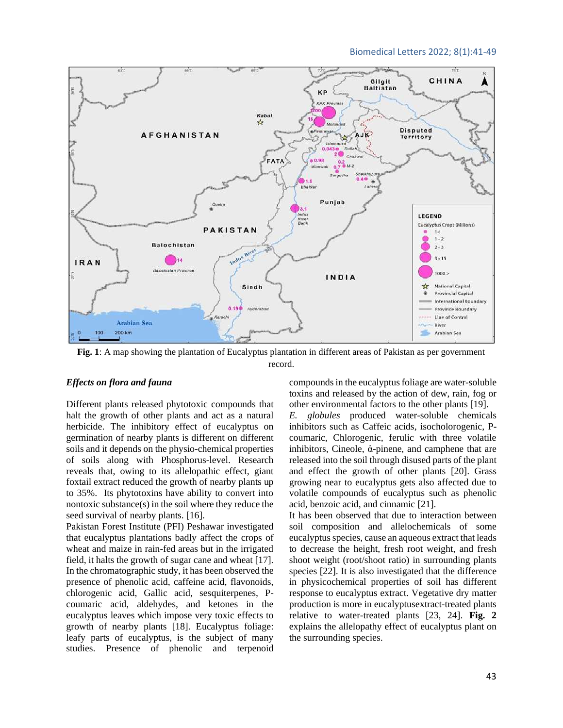#### Biomedical Letters 2022; 8(1):41-49



**Fig. 1**: A map showing the plantation of Eucalyptus plantation in different areas of Pakistan as per government record.

#### *Effects on flora and fauna*

Different plants released phytotoxic compounds that halt the growth of other plants and act as a natural herbicide. The inhibitory effect of eucalyptus on germination of nearby plants is different on different soils and it depends on the physio-chemical properties of soils along with Phosphorus-level. Research reveals that, owing to its allelopathic effect, giant foxtail extract reduced the growth of nearby plants up to 35%. Its phytotoxins have ability to convert into nontoxic substance(s) in the soil where they reduce the seed survival of nearby plants. [16].

Pakistan Forest Institute (PFI) Peshawar investigated that eucalyptus plantations badly affect the crops of wheat and maize in rain-fed areas but in the irrigated field, it halts the growth of sugar cane and wheat [17]. In the chromatographic study, it has been observed the presence of phenolic acid, caffeine acid, flavonoids, chlorogenic acid, Gallic acid, sesquiterpenes, Pcoumaric acid, aldehydes, and ketones in the eucalyptus leaves which impose very toxic effects to growth of nearby plants [18]. Eucalyptus foliage: leafy parts of eucalyptus, is the subject of many studies. Presence of phenolic and terpenoid compounds in the eucalyptus foliage are water-soluble toxins and released by the action of dew, rain, fog or other environmental factors to the other plants [19]. *E. globules* produced water-soluble chemicals inhibitors such as Caffeic acids, isocholorogenic, Pcoumaric, Chlorogenic, ferulic with three volatile inhibitors, Cineole, ἁ-pinene, and camphene that are released into the soil through disused parts of the plant and effect the growth of other plants [20]. Grass growing near to eucalyptus gets also affected due to volatile compounds of eucalyptus such as phenolic acid, benzoic acid, and cinnamic [21].

It has been observed that due to interaction between soil composition and allelochemicals of some eucalyptus species, cause an aqueous extract that leads to decrease the height, fresh root weight, and fresh shoot weight (root/shoot ratio) in surrounding plants species [22]. It is also investigated that the difference in physicochemical properties of soil has different response to eucalyptus extract. Vegetative dry matter production is more in eucalyptusextract-treated plants relative to water-treated plants [23, 24]. **Fig. 2**  explains the allelopathy effect of eucalyptus plant on the surrounding species.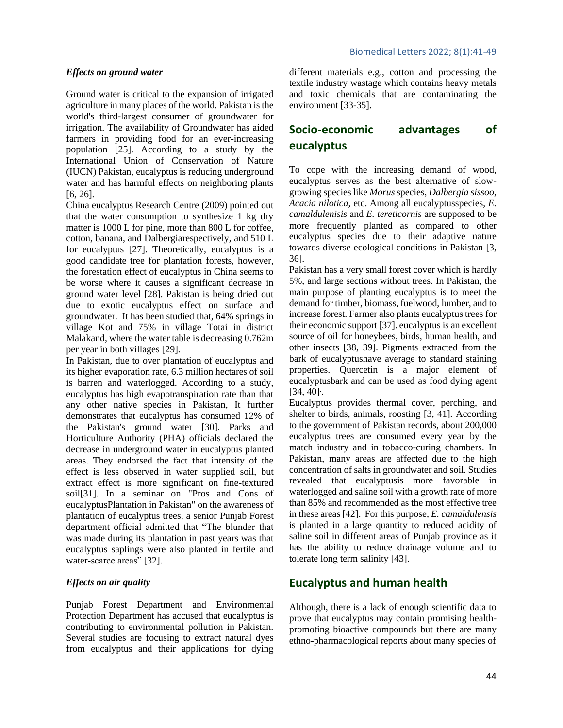#### *Effects on ground water*

Ground water is critical to the expansion of irrigated agriculture in many places of the world. Pakistan is the world's third-largest consumer of groundwater for irrigation. The availability of Groundwater has aided farmers in providing food for an ever-increasing population [25]. According to a study by the International Union of Conservation of Nature (IUCN) Pakistan, eucalyptus is reducing underground water and has harmful effects on neighboring plants [6, 26].

China eucalyptus Research Centre (2009) pointed out that the water consumption to synthesize 1 kg dry matter is 1000 L for pine, more than 800 L for coffee, cotton, banana, and Dalbergiarespectively, and 510 L for eucalyptus [27]. Theoretically, eucalyptus is a good candidate tree for plantation forests, however, the forestation effect of eucalyptus in China seems to be worse where it causes a significant decrease in ground water level [28]. Pakistan is being dried out due to exotic eucalyptus effect on surface and groundwater. It has been studied that, 64% springs in village Kot and 75% in village Totai in district Malakand, where the water table is decreasing 0.762m per year in both villages [29].

In Pakistan, due to over plantation of eucalyptus and its higher evaporation rate, 6.3 million hectares of soil is barren and waterlogged. According to a study, eucalyptus has high evapotranspiration rate than that any other native species in Pakistan, It further demonstrates that eucalyptus has consumed 12% of the Pakistan's ground water [30]. Parks and Horticulture Authority (PHA) officials declared the decrease in underground water in eucalyptus planted areas. They endorsed the fact that intensity of the effect is less observed in water supplied soil, but extract effect is more significant on fine-textured soil[31]. In a seminar on "Pros and Cons of eucalyptusPlantation in Pakistan" on the awareness of plantation of eucalyptus trees, a senior Punjab Forest department official admitted that "The blunder that was made during its plantation in past years was that eucalyptus saplings were also planted in fertile and water-scarce areas" [32].

#### *Effects on air quality*

Punjab Forest Department and Environmental Protection Department has accused that eucalyptus is contributing to environmental pollution in Pakistan. Several studies are focusing to extract natural dyes from eucalyptus and their applications for dying different materials e.g., cotton and processing the textile industry wastage which contains heavy metals and toxic chemicals that are contaminating the environment [33-35].

# **Socio-economic advantages of eucalyptus**

To cope with the increasing demand of wood, eucalyptus serves as the best alternative of slowgrowing species like *Morus*species, *Dalbergia sissoo*, *Acacia nilotica,* etc. Among all eucalyptusspecies, *E. camaldulenisis* and *E. tereticornis* are supposed to be more frequently planted as compared to other eucalyptus species due to their adaptive nature towards diverse ecological conditions in Pakistan [3, 36].

Pakistan has a very small forest cover which is hardly 5%, and large sections without trees. In Pakistan, the main purpose of planting eucalyptus is to meet the demand for timber, biomass, fuelwood, lumber, and to increase forest. Farmer also plants eucalyptus trees for their economic support [37]. eucalyptus is an excellent source of oil for honeybees, birds, human health, and other insects [38, 39]. Pigments extracted from the bark of eucalyptushave average to standard staining properties. Quercetin is a major element of eucalyptusbark and can be used as food dying agent [34, 40]. .

Eucalyptus provides thermal cover, perching, and shelter to birds, animals, roosting [3, 41]. According to the government of Pakistan records, about 200,000 eucalyptus trees are consumed every year by the match industry and in tobacco-curing chambers. In Pakistan, many areas are affected due to the high concentration of salts in groundwater and soil. Studies revealed that eucalyptusis more favorable in waterlogged and saline soil with a growth rate of more than 85% and recommended as the most effective tree in these areas [42]. For this purpose, *E. camaldulensis* is planted in a large quantity to reduced acidity of saline soil in different areas of Punjab province as it has the ability to reduce drainage volume and to tolerate long term salinity [43].

## **Eucalyptus and human health**

Although, there is a lack of enough scientific data to prove that eucalyptus may contain promising healthpromoting bioactive compounds but there are many ethno-pharmacological reports about many species of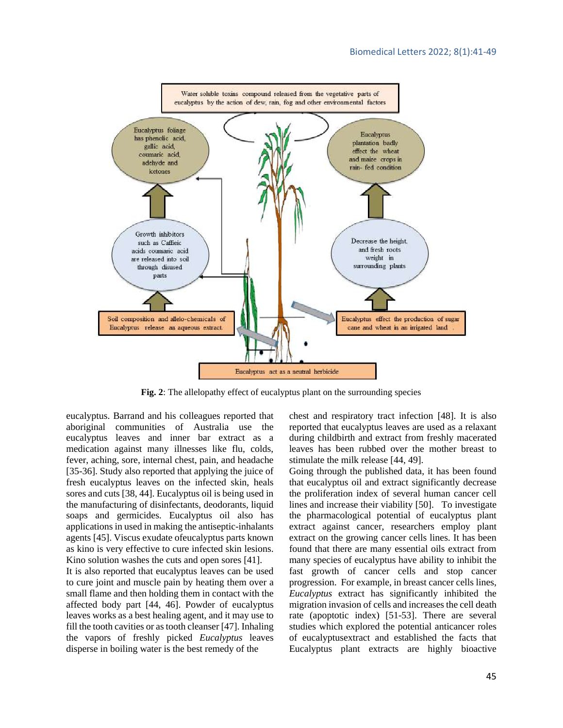

**Fig. 2**: The allelopathy effect of eucalyptus plant on the surrounding species

eucalyptus. Barrand and his colleagues reported that aboriginal communities of Australia use the eucalyptus leaves and inner bar extract as a medication against many illnesses like flu, colds, fever, aching, sore, internal chest, pain, and headache [35-36]. Study also reported that applying the juice of fresh eucalyptus leaves on the infected skin, heals sores and cuts [38, 44]. Eucalyptus oil is being used in the manufacturing of disinfectants, deodorants, liquid soaps and germicides. Eucalyptus oil also has applications in used in making the antiseptic-inhalants agents [45]. Viscus exudate ofeucalyptus parts known as kino is very effective to cure infected skin lesions. Kino solution washes the cuts and open sores [41].

It is also reported that eucalyptus leaves can be used to cure joint and muscle pain by heating them over a small flame and then holding them in contact with the affected body part [44, 46]. Powder of eucalyptus leaves works as a best healing agent, and it may use to fill the tooth cavities or as tooth cleanser [47]. Inhaling the vapors of freshly picked *Eucalyptus* leaves disperse in boiling water is the best remedy of the

chest and respiratory tract infection [48]. It is also reported that eucalyptus leaves are used as a relaxant during childbirth and extract from freshly macerated leaves has been rubbed over the mother breast to stimulate the milk release [44, 49].

Going through the published data, it has been found that eucalyptus oil and extract significantly decrease the proliferation index of several human cancer cell lines and increase their viability [50]. To investigate the pharmacological potential of eucalyptus plant extract against cancer, researchers employ plant extract on the growing cancer cells lines. It has been found that there are many essential oils extract from many species of eucalyptus have ability to inhibit the fast growth of cancer cells and stop cancer progression. For example, in breast cancer cells lines, *Eucalyptus* extract has significantly inhibited the migration invasion of cells and increases the cell death rate (apoptotic index) [51-53]. There are several studies which explored the potential anticancer roles of eucalyptusextract and established the facts that Eucalyptus plant extracts are highly bioactive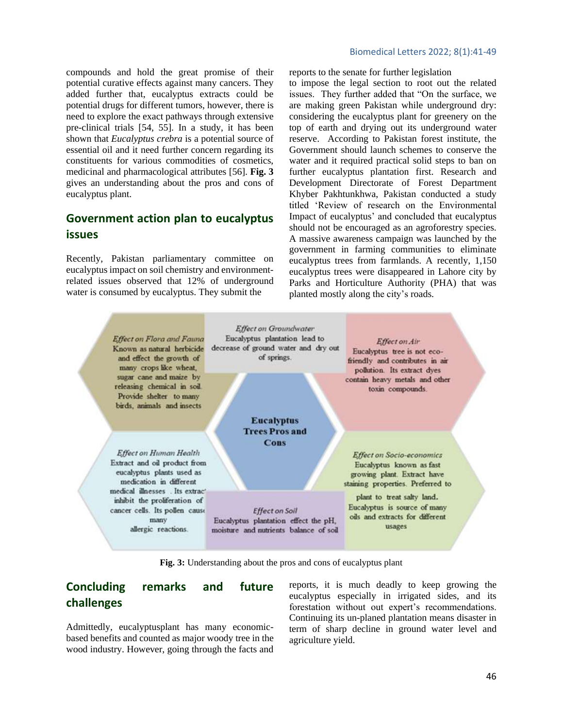compounds and hold the great promise of their potential curative effects against many cancers. They added further that, eucalyptus extracts could be potential drugs for different tumors, however, there is need to explore the exact pathways through extensive pre-clinical trials [54, 55]. In a study, it has been shown that *Eucalyptus crebra* is a potential source of essential oil and it need further concern regarding its constituents for various commodities of cosmetics, medicinal and pharmacological attributes [56]. **Fig. 3** gives an understanding about the pros and cons of eucalyptus plant.

# **Government action plan to eucalyptus issues**

Recently, Pakistan parliamentary committee on eucalyptus impact on soil chemistry and environmentrelated issues observed that 12% of underground water is consumed by eucalyptus. They submit the

#### Biomedical Letters 2022; 8(1):41-49

reports to the senate for further legislation

to impose the legal section to root out the related issues. They further added that "On the surface, we are making green Pakistan while underground dry: considering the eucalyptus plant for greenery on the top of earth and drying out its underground water reserve. According to Pakistan forest institute, the Government should launch schemes to conserve the water and it required practical solid steps to ban on further eucalyptus plantation first. Research and Development Directorate of Forest Department Khyber Pakhtunkhwa, Pakistan conducted a study titled 'Review of research on the Environmental Impact of eucalyptus' and concluded that eucalyptus should not be encouraged as an agroforestry species. A massive awareness campaign was launched by the government in farming communities to eliminate eucalyptus trees from farmlands. A recently, 1,150 eucalyptus trees were disappeared in Lahore city by Parks and Horticulture Authority (PHA) that was planted mostly along the city's roads.



**Fig. 3:** Understanding about the pros and cons of eucalyptus plant

# **Concluding remarks and future challenges**

Admittedly, eucalyptusplant has many economicbased benefits and counted as major woody tree in the wood industry. However, going through the facts and reports, it is much deadly to keep growing the eucalyptus especially in irrigated sides, and its forestation without out expert's recommendations. Continuing its un-planed plantation means disaster in term of sharp decline in ground water level and agriculture yield.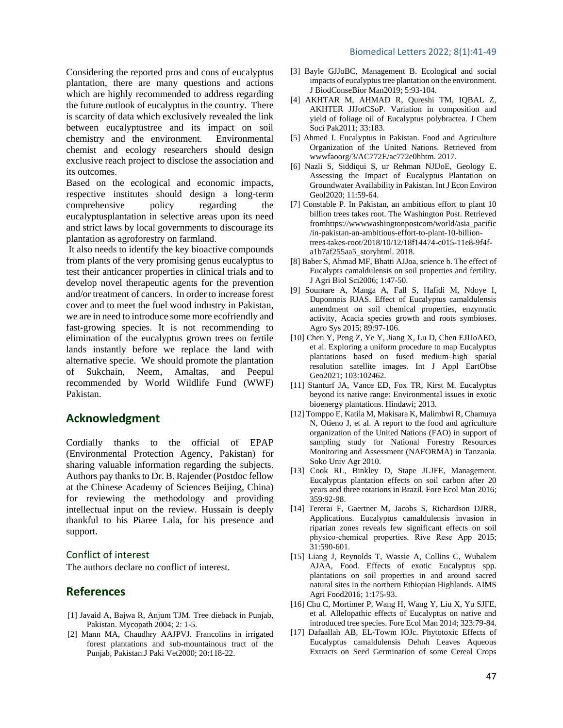Considering the reported pros and cons of eucalyptus plantation, there are many questions and actions which are highly recommended to address regarding the future outlook of eucalyptus in the country. There is scarcity of data which exclusively revealed the link between eucalyptustree and its impact on soil chemistry and the environment. Environmental chemist and ecology researchers should design exclusive reach project to disclose the association and its outcomes.

Based on the ecological and economic impacts, respective institutes should design a long-term comprehensive policy regarding the eucalyptusplantation in selective areas upon its need and strict laws by local governments to discourage its plantation as agroforestry on farmland.

It also needs to identify the key bioactive compounds from plants of the very promising genus eucalyptus to test their anticancer properties in clinical trials and to develop novel therapeutic agents for the prevention and/or treatment of cancers. In order to increase forest cover and to meet the fuel wood industry in Pakistan, we are in need to introduce some more ecofriendly and fast-growing species. It is not recommending to elimination of the eucalyptus grown trees on fertile lands instantly before we replace the land with alternative specie. We should promote the plantation of Sukchain, Neem, Amaltas, and Peepul recommended by World Wildlife Fund (WWF) Pakistan.

# **Acknowledgment**

Cordially thanks to the official of EPAP (Environmental Protection Agency, Pakistan) for sharing valuable information regarding the subjects. Authors pay thanks to Dr. B. Rajender (Postdoc fellow at the Chinese Academy of Sciences Beijing, China) for reviewing the methodology and providing intellectual input on the review. Hussain is deeply thankful to his Piaree Lala, for his presence and support.

#### Conflict of interest

The authors declare no conflict of interest.

## **References**

- [1] Javaid A, Bajwa R, Anjum TJM. Tree dieback in Punjab, Pakistan. Mycopath 2004; 2: 1-5.
- [2] Mann MA, Chaudhry AAJPVJ. Francolins in irrigated forest plantations and sub-mountainous tract of the Punjab, Pakistan.[J Paki Vet2](https://www.cabdirect.org/cabdirect/search/?q=do%3a%22Pakistan+Veterinary+Journal%22)000; 20:118-22.
- [3] Bayle GJJoBC, Management B. Ecological and social impacts of eucalyptus tree plantation on the environment. J BiodConseBior Man2019; 5:93-104.
- [4] AKHTAR M, AHMAD R, Qureshi TM, IQBAL Z, AKHTER JJJotCSoP. Variation in composition and yield of foliage oil of Eucalyptus polybractea. J Chem Soci Pak2011; 33:183.
- [5] Ahmed I. Eucalyptus in Pakistan. Food and Agriculture Organization of the United Nations. Retrieved from wwwfaoorg/3/AC772E/ac772e0hhtm. 2017.
- [6] Nazli S, Siddiqui S, ur Rehman NJIJoE, Geology E. Assessing the Impact of Eucalyptus Plantation on Groundwater Availability in Pakistan. Int J Econ Environ Geol2020; 11:59-64.
- [7] Constable P. In Pakistan, an ambitious effort to plant 10 billion trees takes root. The Washington Post. Retrieved fromhttps://wwwwashingtonpostcom/world/asia\_pacific /in-pakistan-an-ambitious-effort-to-plant-10-billiontrees-takes-root/2018/10/12/18f14474-c015-11e8-9f4fa1b7af255aa5\_storyhtml. 2018.
- [8] Baber S, Ahmad MF, Bhatti AJJoa, science b. The effect of Eucalypts camaldulensis on soil properties and fertility. J Agri Biol Sci2006; 1:47-50.
- [9] Soumare A, Manga A, Fall S, Hafidi M, Ndoye I, Duponnois RJAS. Effect of Eucalyptus camaldulensis amendment on soil chemical properties, enzymatic activity, Acacia species growth and roots symbioses. Agro Sys 2015; 89:97-106.
- [10] Chen Y, Peng Z, Ye Y, Jiang X, Lu D, Chen EJIJoAEO, et al. Exploring a uniform procedure to map Eucalyptus plantations based on fused medium–high spatial resolution satellite images. Int J Appl EartObse Geo2021; 103:102462.
- [11] Stanturf JA, Vance ED, Fox TR, Kirst M. Eucalyptus beyond its native range: Environmental issues in exotic bioenergy plantations. Hindawi; 2013.
- [12] Tomppo E, Katila M, Makisara K, Malimbwi R, Chamuya N, Otieno J, et al. A report to the food and agriculture organization of the United Nations (FAO) in support of sampling study for National Forestry Resources Monitoring and Assessment (NAFORMA) in Tanzania. Soko Univ Agr 2010.
- [13] Cook RL, Binkley D, Stape JLJFE, Management. Eucalyptus plantation effects on soil carbon after 20 years and three rotations in Brazil. Fore Ecol Man 2016; 359:92-98.
- [14] Tererai F, Gaertner M, Jacobs S, Richardson DJRR, Applications. Eucalyptus camaldulensis invasion in riparian zones reveals few significant effects on soil physico‐chemical properties. Rive Rese App 2015; 31:590-601.
- [15] Liang J, Reynolds T, Wassie A, Collins C, Wubalem AJAA, Food. Effects of exotic Eucalyptus spp. plantations on soil properties in and around sacred natural sites in the northern Ethiopian Highlands. AIMS Agri Food2016; 1:175-93.
- [16] Chu C, Mortimer P, Wang H, Wang Y, Liu X, Yu SJFE, et al. Allelopathic effects of Eucalyptus on native and introduced tree species. Fore Ecol Man 2014; 323:79-84.
- [17] Dafaallah AB, EL-Towm IOJc. Phytotoxic Effects of Eucalyptus camaldulensis Dehnh Leaves Aqueous Extracts on Seed Germination of some Cereal Crops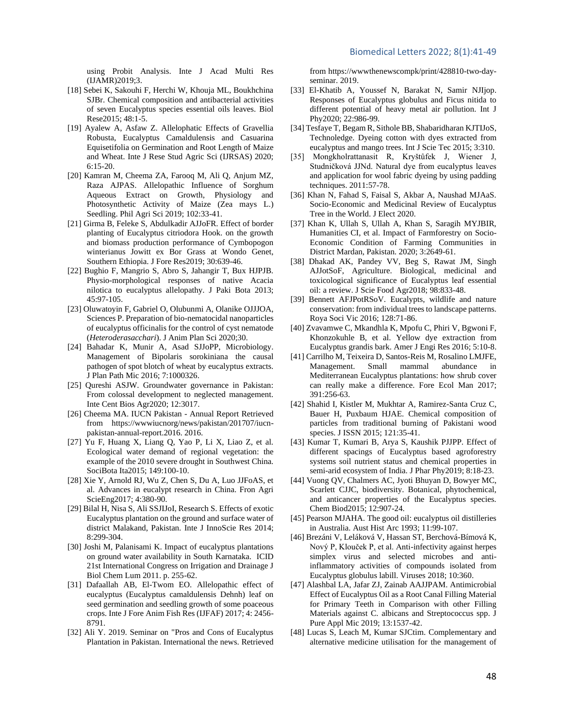using Probit Analysis. Inte J Acad Multi Res (IJAMR)2019;3.

- [18] Sebei K, Sakouhi F, Herchi W, Khouja ML, Boukhchina SJBr. Chemical composition and antibacterial activities of seven Eucalyptus species essential oils leaves. Biol Rese2015; 48:1-5.
- [19] Ayalew A, Asfaw Z. Allelophatic Effects of Gravellia Robusta, Eucalyptus Camaldulensis and Casuarina Equisetifolia on Germination and Root Length of Maize and Wheat. Inte J Rese Stud Agric Sci (IJRSAS) 2020; 6:15-20.
- [20] Kamran M, Cheema ZA, Farooq M, Ali Q, Anjum MZ, Raza AJPAS. Allelopathic Influence of Sorghum Aqueous Extract on Growth, Physiology and Photosynthetic Activity of Maize (Zea mays L.) Seedling. Phil Agri Sci 2019; 102:33-41.
- [21] Girma B, Feleke S, Abdulkadir AJJoFR. Effect of border planting of Eucalyptus citriodora Hook. on the growth and biomass production performance of Cymbopogon winterianus Jowitt ex Bor Grass at Wondo Genet, Southern Ethiopia. J Fore Res2019; 30:639-46.
- [22] Bughio F, Mangrio S, Abro S, Jahangir T, Bux HJPJB. Physio-morphological responses of native Acacia nilotica to eucalyptus allelopathy. J Paki Bota 2013; 45:97-105.
- [23] Oluwatoyin F, Gabriel O, Olubunmi A, Olanike OJJJOA, Sciences P. Preparation of bio-nematocidal nanoparticles of eucalyptus officinalis for the control of cyst nematode (*Heteroderasacchari*). J Anim Plan Sci 2020;30.
- [24] Bahadar K, Munir A, Asad SJJoPP, Microbiology. Management of Bipolaris sorokiniana the causal pathogen of spot blotch of wheat by eucalyptus extracts. J Plan Path Mic 2016; 7:1000326.
- [25] Qureshi ASJW. Groundwater governance in Pakistan: From colossal development to neglected management. Inte Cent Bios Agr2020; 12:3017.
- [26] Cheema MA. IUCN Pakistan Annual Report Retrieved from https://wwwiucnorg/news/pakistan/201707/iucnpakistan-annual-report.2016. 2016.
- [27] Yu F, Huang X, Liang Q, Yao P, Li X, Liao Z, et al. Ecological water demand of regional vegetation: the example of the 2010 severe drought in Southwest China. SociBota Ita2015; 149:100-10.
- [28] Xie Y, Arnold RJ, Wu Z, Chen S, Du A, Luo JJFoAS, et al. Advances in eucalypt research in China. Fron Agri ScieEng2017; 4:380-90.
- [29] Bilal H, Nisa S, Ali SSJIJoI, Research S. Effects of exotic Eucalyptus plantation on the ground and surface water of district Malakand, Pakistan. Inte J InnoScie Res 2014; 8:299-304.
- [30] Joshi M, Palanisami K. Impact of eucalyptus plantations on ground water availability in South Karnataka. ICID 21st International Congress on Irrigation and Drainage J Biol Chem Lum 2011. p. 255-62.
- [31] Dafaallah AB, El-Twom EO. Allelopathic effect of eucalyptus (Eucalyptus camaldulensis Dehnh) leaf on seed germination and seedling growth of some poaceous crops. Inte J Fore Anim Fish Res (IJFAF) 2017; 4: 2456- 8791.
- [32] Ali Y. 2019. Seminar on "Pros and Cons of Eucalyptus Plantation in Pakistan. International the news. Retrieved

from https://wwwthenewscompk/print/428810-two-dayseminar. 2019.

- [33] El-Khatib A, Youssef N, Barakat N, Samir NJIjop. Responses of Eucalyptus globulus and Ficus nitida to different potential of heavy metal air pollution. Int J Phy2020; 22:986-99.
- [34] Tesfaye T, Begam R, Sithole BB, Shabaridharan KJTIJoS, Technoledge. Dyeing cotton with dyes extracted from eucalyptus and mango trees. Int J Scie Tec 2015; 3:310.
- [35] Mongkholrattanasit R, Kryštůfek J, Wiener J, Studničková JJNd. Natural dye from eucalyptus leaves and application for wool fabric dyeing by using padding techniques. 2011:57-78.
- [36] Khan N, Fahad S, Faisal S, Akbar A, Naushad MJAaS. Socio-Economic and Medicinal Review of Eucalyptus Tree in the World. J Elect 2020.
- [37] Khan K, Ullah S, Ullah A, Khan S, Saragih MYJBIR, Humanities CI, et al. Impact of Farmforestry on Socio-Economic Condition of Farming Communities in District Mardan, Pakistan. 2020; 3:2649-61.
- [38] Dhakad AK, Pandey VV, Beg S, Rawat JM, Singh AJJotSoF, Agriculture. Biological, medicinal and toxicological significance of Eucalyptus leaf essential oil: a review. J Scie Food Agr2018; 98:833-48.
- [39] Bennett AFJPotRSoV. Eucalypts, wildlife and nature conservation: from individual trees to landscape patterns. Roya Soci Vic 2016; 128:71-86.
- [40] Zvavamwe C, Mkandhla K, Mpofu C, Phiri V, Bgwoni F, Khonzokuhle B, et al. Yellow dye extraction from Eucalyptus grandis bark. Amer J Engi Res 2016; 5:10-8.
- [41] Carrilho M, Teixeira D, Santos-Reis M, Rosalino LMJFE, Management. Small mammal abundance in Mediterranean Eucalyptus plantations: how shrub cover can really make a difference. Fore Ecol Man 2017; 391:256-63.
- [42] Shahid I, Kistler M, Mukhtar A, Ramirez-Santa Cruz C, Bauer H, Puxbaum HJAE. Chemical composition of particles from traditional burning of Pakistani wood species. J ISSN 2015; 121:35-41.
- [43] Kumar T, Kumari B, Arya S, Kaushik PJJPP. Effect of different spacings of Eucalyptus based agroforestry systems soil nutrient status and chemical properties in semi-arid ecosystem of India. J Phar Phy2019; 8:18-23.
- [44] Vuong QV, Chalmers AC, Jyoti Bhuyan D, Bowyer MC, Scarlett CJJC, biodiversity. Botanical, phytochemical, and anticancer properties of the Eucalyptus species. Chem Biod2015; 12:907-24.
- [45] Pearson MJAHA. The good oil: eucalyptus oil distilleries in Australia. Aust Hist Arc 1993; 11:99-107.
- [46] Brezáni V, Leláková V, Hassan ST, Berchová-Bímová K, Nový P, Klouček P, et al. Anti-infectivity against herpes simplex virus and selected microbes and antiinflammatory activities of compounds isolated from Eucalyptus globulus labill. Viruses 2018; 10:360.
- [47] Alashbal LA, Jafar ZJ, Zainab AAJJPAM. Antimicrobial Effect of Eucalyptus Oil as a Root Canal Filling Material for Primary Teeth in Comparison with other Filling Materials against C. albicans and Streptococcus spp. J Pure Appl Mic 2019; 13:1537-42.
- [48] Lucas S, Leach M, Kumar SJCtim. Complementary and alternative medicine utilisation for the management of